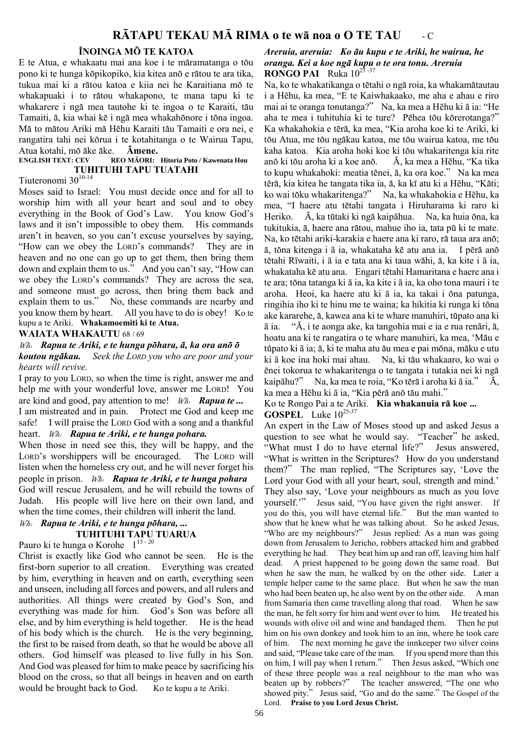# R**Ā**TAPU TEKAU M**Ā** RIMA o te w**ā noa o** O TE TAU - C

### ÏNOINGA MÖ TE KATOA

E te Atua, e whakaatu mai ana koe i te märamatanga o töu pono ki te hunga köpikopiko, kia kitea anö e rätou te ara tika, tukua mai ki a rätou katoa e kiia nei he Karaitiana mö te whakapuaki i to rätou whakapono, te mana tapu ki te whakarere i ngä mea tautohe ki te ingoa o te Karaiti, täu Tamaiti, ä, kia whai kë i ngä mea whakahönore i töna ingoa. Mä to mätou Ariki mä Hëhu Karaiti täu Tamaiti e ora nei, e rangatira tahi nei körua i te kotahitanga o te Wairua Tapu, Atua kotahi, mö äke äke. Ämene.

#### ENGLISH TEXT: CEV REO M**ĀORI: Hitoria Poto / Kawenata Hou** TUHITUHI TAPU TUATAHI

# Tiuteronomi 30<sup>10-14</sup>

Moses said to Israel: You must decide once and for all to worship him with all your heart and soul and to obey everything in the Book of God's Law. You know God's laws and it isn't impossible to obey them. His commands aren't in heaven, so you can't excuse yourselves by saying, "How can we obey the LORD's commands? They are in heaven and no one can go up to get them, then bring them down and explain them to us." And you can't say, "How can we obey the LORD's commands? They are across the sea, and someone must go across, then bring them back and explain them to us." No, these commands are nearby and you know them by heart. All you have to do is obey! Ko te kupu a te Ariki. Whakamoemiti ki te Atua.

#### WAIATA WHAKAUTU 68/69

#### $W\!\!\mathbb{A}\!$ . Rapua te Ariki, e te hunga põhara,  $\bar{a}$ , ka ora anõ õ koutou ngäkau. Seek the LORD you who are poor and your hearts will revive.

I pray to you LORD, so when the time is right, answer me and help me with your wonderful love, answer me LORD! You are kind and good, pay attention to me!  $W_{A}$ . **Rapua te...** 

I am mistreated and in pain. Protect me God and keep me safe! I will praise the LORD God with a song and a thankful heart. W. Rapua te Ariki, e te hunga pohara.

### When those in need see this, they will be happy, and the LORD's worshippers will be encouraged. The LORD will listen when the homeless cry out, and he will never forget his people in prison.  $W_a$ . Rapua te Ariki, e te hunga pohara God will rescue Jerusalem, and he will rebuild the towns of Judah. His people will live here on their own land, and when the time comes, their children will inherit the land.

# Wh: Rapua te Ariki, e te hunga pöhara, ...

# TUHITUHI TAPU TUARUA

# Pauro ki te hunga o Korohe  $1^{15-20}$

Christ is exactly like God who cannot be seen. He is the first-born superior to all creation. Everything was created by him, everything in heaven and on earth, everything seen and unseen, including all forces and powers, and all rulers and authorities. All things were created by God's Son, and everything was made for him. God's Son was before all else, and by him everything is held together. He is the head of his body which is the church. He is the very beginning, the first to be raised from death, so that he would be above all others. God himself was pleased to live fully in his Son. And God was pleased for him to make peace by sacrificing his blood on the cross, so that all beings in heaven and on earth would be brought back to God. Ko te kupu a te Ariki.

### Areruia, areruia: Ko äu kupu e te Ariki, he wairua, he oranga. Kei a koe ngä kupu o te ora tonu. Areruia **RONGO PAI** Ruka  $10^{25-37}$

Na, ko te whakatikanga o tëtahi o ngä roia, ka whakamätautau i a Hēhu, ka mea, "E te Kaiwhakaako, me aha e ahau e riro mai ai te oranga tonutanga?" Na, ka mea a Hēhu ki ā ia: "He aha te mea i tuhituhia ki te ture? Pëhea töu körerotanga?" Ka whakahokia e tërä, ka mea, "Kia aroha koe ki te Ariki, ki töu Atua, me töu ngäkau katoa, me töu wairua katoa, me töu kaha katoa. Kia aroha hoki koe ki töu whakaritenga kia rite anö ki töu aroha ki a koe anö. Ä, ka mea a Hēhu, "Ka tika to kupu whakahoki: meatia tënei, ä, ka ora koe." Na ka mea tërä, kia kitea he tangata tika ia, ä, ka kï atu ki a Hēhu, "Käti; ko wai töku whakaritenga?" Na, ka whakahokia e Hēhu, ka mea, "I haere atu tëtahi tangata i Hiruharama ki raro ki Heriko. Ä, ka tütaki ki ngä kaipāhua. Na, ka huia öna, ka tukitukia, ä, haere ana rätou, mahue iho ia, tata pü ki te mate. Na, ko tëtahi ariki-karakia e haere ana ki raro, rä taua ara anö; ä, töna kitenga i ā ia, whakataha kë atu ana ia. I përä anö tëtahi Rīwaiti, i ā ia e tata ana ki taua wähi, ä, ka kite i ā ia, whakataha kë atu ana. Engari tëtahi Hamaritana e haere ana i te ara; töna tatanga ki ā ia, ka kite i ā ia, ka oho tona mauri i te aroha. Heoi, ka haere atu ki ā ia, ka takai i öna patunga, ringihia iho ki te hinu me te waina; ka hikitia ki runga ki töna ake kararehe, ä, kawea ana ki te whare manuhiri, tüpato ana ki ā ia. "Ä, i te aonga ake, ka tangohia mai e ia e rua renāri, ä, hoatu ana ki te rangatira o te whare manuhiri, ka mea, 'Mäu e tüpato ki ā ia; ä, ki te maha atu äu mea e pai möna, mäku e utu ki ā koe ina hoki mai ahau. Na, ki täu whakaaro, ko wai o ënei tokorua te whakaritenga o te tangata i tutakia nei ki ngä kaipāhu?" Na, ka mea te roia, "Ko tërä i aroha ki ā ia." Ä, ka mea a Hēhu ki ā ia, "Kia përä anö täu mahi."

### Ko te Rongo Pai a te Ariki. Kia whakanuia r**ā koe ... GOSPEL** Luke  $10^{25-37}$

An expert in the Law of Moses stood up and asked Jesus a question to see what he would say. "Teacher" he asked, "What must I do to have eternal life?" Jesus answered, "What is written in the Scriptures? How do you understand them?" The man replied, "The Scriptures say, 'Love the Lord your God with all your heart, soul, strength and mind.' They also say, 'Love your neighbours as much as you love yourself.'" Jesus said, "You have given the right answer. If you do this, you will have eternal life." But the man wanted to show that he knew what he was talking about. So he asked Jesus, "Who are my neighbours?" Jesus replied: As a man was going down from Jerusalem to Jericho, robbers attacked him and grabbed everything he had. They beat him up and ran off, leaving him half dead. A priest happened to be going down the same road. But when he saw the man, he walked by on the other side. Later a temple helper came to the same place. But when he saw the man who had been beaten up, he also went by on the other side. A man from Samaria then came travelling along that road. When he saw the man, he felt sorry for him and went over to him. He treated his wounds with olive oil and wine and bandaged them. Then he put him on his own donkey and took him to an inn, where he took care of him. The next morning he gave the innkeeper two silver coins and said, "Please take care of the man. If you spend more than this on him, I will pay when I return." Then Jesus asked, "Which one of these three people was a real neighbour to the man who was beaten up by robbers?" The teacher answered, "The one who showed pity." Jesus said, "Go and do the same." The Gospel of the Lord. Praise to you Lord Jesus Christ.